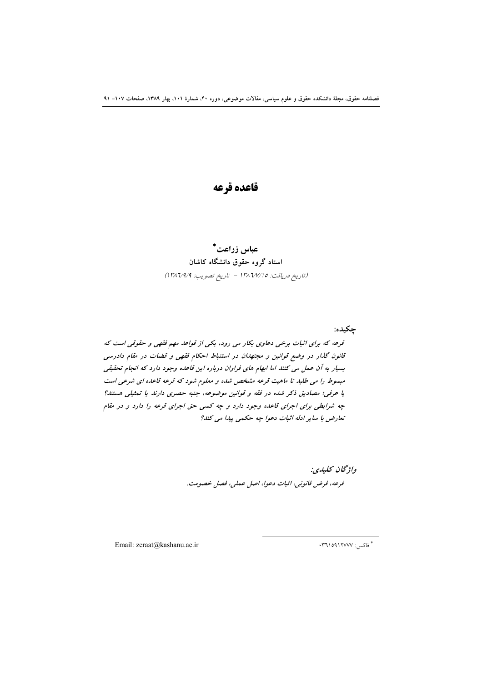# قاعده قرعه

## عباس زراعت\* استاد گروه حقوق دانشگاه کاشان (تاريخ دريافت: ١٣٨٦/٧/١٥ - تاريخ تصويب: ١٣٨٦/٩/٩)

چکيده: قرعه که برای اثبات برخی دعاوی بکار می رود، یکی از قواعد مهم فقهی و حقوقی است که قانون گذار در وضع قوانین و مجتهدان در استنباط احکام فقهی و قضات در مقام دادرسی بسیار به آن عمل می کنند اما ابهام های فراوان درباره این قاعده وجود دارد که انجام تحقیقی مبسوط را می طلبد تا ماهیت قرعه مشخص شده و معلوم شود که قرعه قاعده ای شرعی است یا عرفی؛ مصادیق ذکر شده در فقه و قوانین موضوعه، جنبه حصری دارند یا تمثیلی هستند؟ چه شرایطی برای اجرای قاعده وجود دارد و چه کسی حق اجرای قرعه را دارد و در مقام تعارض با ساير ادله اثبات دعوا چه حكمى پيدا مى كند؟

> واژگان كليدي: قرعه، فرض قانوني، اثبات دعوا، اصل عملي، فصل خصومت.

Email: zeraat@kashanu.ac.ir

\* فاکس: ۱۲۷۷۷۰: ۲۳۹۱۰۹۱۲۳۷۰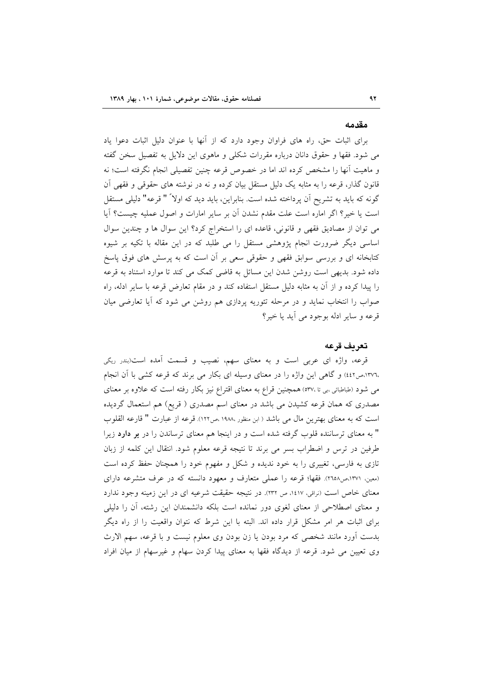#### مقدمه

برای اثبات حق، راه های فراوان وجود دارد که از آنها با عنوان دلیل اثبات دعوا یاد می شود. فقها و حقوق دانان درباره مقررات شکلی و ماهوی این دلایل به تفصیل سخن گفته و ماهیت آنها را مشخص کرده اند اما در خصوص قرعه چنین تفصیلی انجام نگرفته است؛ نه قانون گذار، قرعه را به مثابه یک دلیل مستقل بیان کرده و نه در نوشته های حقوقی و فقهی آن گونه که باید به تشریح آن پرداخته شده است. بنابراین، باید دید که اولا ً " قرعه" دلیلی مستقل است یا خیر؟ اگر اماره است علت مقدم نشدن آن بر سایر امارات و اصول عملیه چیست؟ آیا می توان از مصادیق فقهی و قانونی، قاعده ای را استخراج کرد؟ این سوال ها و چندین سوال اساسی دیگر ضرورت انجام پژوهشی مستقل را می طلبد که در این مقاله با تکیه بر شیوه کتابخانه ای و بررسی سوابق فقهی و حقوقی سعی بر آن است که به پرسش های فوق پاسخ داده شود. بدیهی است روشن شدن این مسائل به قاضی کمک می کند تا موارد استناد به قرعه را پیدا کرده و از آن به مثابه دلیل مستقل استفاده کند و در مقام تعارض قرعه با سایر ادله، راه صواب را انتخاب نماید و در مرحله تئوریه پردازی هم روشن می شود که آیا تعارضی میان قرعه و ساير ادله بوجود مي آيد يا خير؟

## تعريف قرعه

قرعه، واژه ای عربی است و به معنای سهم، نصیب و قسمت آمده است(بندر ریگی ،١٣٧٦،ص٤٤٢) و گاهي اين واژه را در معناي وسيله اي بكار مي برند كه قرعه كشي با أن انجام می شود (طباطبائی سی تا ،٥٣٧) همچنین قراع به معنای اقتراع نیز بکار رفته است که علاوه بر معنای مصدری که همان قرعه کشیدن می باشد در معنای اسم مصدری ( قریع) هم استعمال گردیده است كه به معناى بهترين مال مى باشد ( ابن منظور ١٩٨٨، مر١٢٢). قرعه از عبارت " قارعه القلوب " به معنای ترساننده قلوب گرفته شده است و در اینجا هم معنای ترساندن را در **بر دارد** زیرا طرفین در ترس و اضطراب بسر می برند تا نتیجه قرعه معلوم شود. انتقال این کلمه از زبان تازی به فارسی، تغییری را به خود ندیده و شکل و مفهوم خود را همچنان حفظ کرده است (معین، ۱۳۷۱،ص۲۵۸). فقها؛ قرعه را عملی متعارف و معهود دانسته که در عرف متشرعه دارای معنای خاص است (نراقی، ١٤١٧، ص ٢٣٢). در نتيجه حقيقت شرعيه ای در اين زمينه وجود ندارد و معنای اصطلاحی از معنای لغوی دور نمانده است بلکه دانشمندان این رشته، آن را دلیلی برای اثبات هر امر مشکل قرار داده اند. البته با این شرط که نتوان واقعیت را از راه دیگر بدست آورد مانند شخصی که مرد بودن یا زن بودن وی معلوم نیست و با قرعه، سهم الارث وی تعیین می شود. قرعه از دیدگاه فقها به معنای پیدا کردن سهام و غیرسهام از میان افراد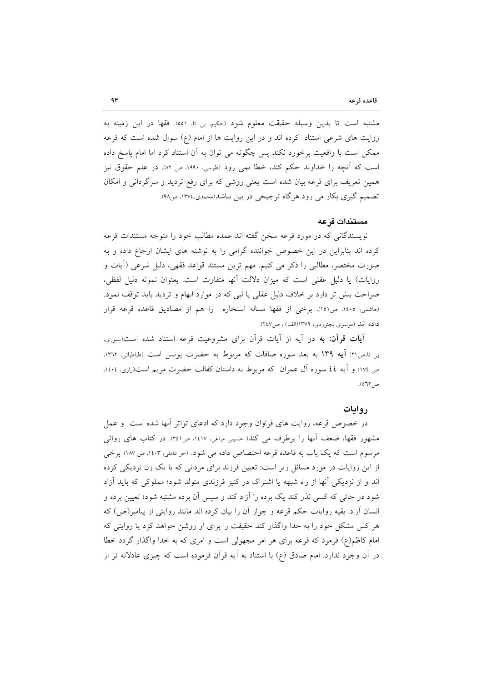مشتبه است تا بدین وسیله حقیقت معلوم شود (حکیم، بی تا، ٥٥١). فقها در این زمینه به روایت های شرعی استناد کرده اند و در این روایت ها از امام (ع) سوال شده است که قرعه ممکن است با واقعیت برخورد نکند پس چگونه می توان به آن استناد کرد اما امام پاسخ داده است که آنچه را خداوند حکم کند، خطا نمی رود (طوسی، ۱۹۹۰، ص ۸۲). در علم حقوق نیز همین تعریف برای قرعه بیان شده است یعنی روشی که برای رفع تردید و سرگردانی و امکان تصمیم گیری بکار می رود هرگاه ترجیحی در بین نباشد(محمدی،۱۳۷٤، ص۹۸).

## مستندات قرعه

نویسندگانی که در مورد قرعه سخن گفته اند عمده مطالب خود را متوجه مستندات قرعه کرده اند بنابراین در این خصوص خواننده گرامی را به نوشته های ایشان ارجاع داده و به صورت مختصر، مطالبی را ذکر می کنیم. مهم ترین مستند قواعد فقهی، دلیل شرعی (أیات و روايات) يا دليل عقلي است كه ميزان دلالت آنها متفاوت است. بعنوان نمونه دليل لفظي، صراحت بیش تر دارد بر خلاف دلیل عقلی یا لبی که در موارد ابهام و تردید باید توقف نمود. (هاشمی، ١٤٠٥، ص١٥١). برخی از فقها مساله استخاره را هم از مصادیق قاعده قرعه قرار داده اند (موسوى بجنوردى، ١٣٧٩(الف) ، ص٢٤٧).

**آیات قرآن: به** دو آیه از آیات قرآن برای مشروعیت قرعه استناد شده است(سیوری، بی تامر۲۱) آیه ۱۳۹ به بعد سوره صافات که مربوط به حضرت یونس است (طباطبائی، ۱۳۶۲). ص ١٧٤) و آيه ٤٤ سوره آل عمران كه مربوط به داستان كفالت حضرت مريم است(رازي، ١٤٠٤، ص ٢٦٢).

### روايات

در خصوص قرعه، روایت های فراوان وجود دارد که ادعای تواتر آنها شده است و عمل مشهور فقها، ضعف آنها را برطرف می کند( حسینی مراغی، ۱٤۱۷، ص۳٤۱. در کتاب های روائی مرسوم است که یک باب به قاعده قرعه اختصاص داده می شود. (حر عاملی، ۱٤٠٣، ص ۱۸۷). برخی از این روایات در مورد مسائل زیر است: تعیین فرزند برای مردانی که با یک زن نزدیکی کرده اند و از نزدیکی آنها از راه شبهه یا اشتراک در کنیز فرزندی متولد شود؛ مملوکی که باید آزاد شود در جائی که کسی نذر کند یک برده را آزاد کند و سپس آن برده مشتبه شود؛ تعیین برده و انسان آزاد. بقیه روایات حکم قرعه و جواز آن را بیان کرده اند مانند روایتی از پیامبر(ص) که هر کس مشکل خود را به خدا واگذار کند حقیقت را برای او روشن خواهد کرد یا روایتی که امام کاظم(ع) فرمود که قرعه برای هر امر مجهولی است و امری که به خدا واگذار گردد خطا در آن وجود ندارد. امام صادق (ع) با استناد به آیه قرآن فرموده است که چیزی عادلانه تر از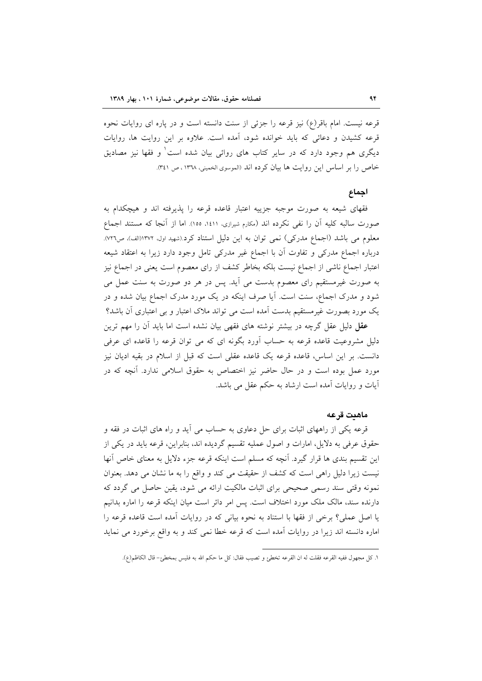قرعه نیست. امام باقر(ع) نیز قرعه را جزئی از سنت دانسته است و در پاره ای روایات نحوه قرعه کشیدن و دعائی که باید خوانده شود، آمده است. علاوه بر این روایت ها، روایات دیگری هم وجود دارد که در سایر کتاب های روائی بیان شده است ٰ و فقها نیز مصادیق خاص را بر اساس این روایت ها بیان کرده اند (الموسوی الخمینی، ١٣٦٨، ص ٣٤١).

## احماع

فقهای شیعه به صورت موجبه جزییه اعتبار قاعده قرعه را پذیرفته اند و هیچکدام به صورت سالبه كليه آن را نفي نكرده اند (مكارم شيرازي، ١٤١١، ١٥٥). اما از آنجا كه مستند اجماع معلوم می باشد (اجماع مدرکی) نمی توان به این دلیل استناد کرد.(شهید اول، ۱۳۷۲(الف)، ص۷۲۲). درباره اجماع مدرکی و تفاوت آن با اجماع غیر مدرکی تامل وجود دارد زیرا به اعتقاد شیعه اعتبار اجماع ناشی از اجماع نیست بلکه بخاطر کشف از رای معصوم است یعنی در اجماع نیز به صورت غیرمستقیم رای معصوم بدست می آید. پس در هر دو صورت به سنت عمل می شود و مدرک اجماع، سنت است. آیا صرف اینکه در یک مورد مدرک اجماع بیان شده و در یک مورد بصورت غیرمستقیم بدست اَمده است می تواند ملاک اعتبار و بی اعتباری اَن باشد؟

**عقل** دلیل عقل گرچه در بیشتر نوشته های فقهی بیان نشده است اما باید اّن را مهم ترین دلیل مشروعیت قاعده قرعه به حساب آورد بگونه ای که می توان قرعه را قاعده ای عرفی دانست. بر این اساس، قاعده قرعه یک قاعده عقلی است که قبل از اسلام در بقیه ادیان نیز مورد عمل بوده است و در حال حاضر نیز اختصاص به حقوق اسلامی ندارد. آنچه که در آیات و روایات آمده است ارشاد به حکم عقل می باشد.

#### ماهنت قرعه

قرعه یکی از راههای اثبات برای حل دعاوی به حساب می آید و راه های اثبات در فقه و حقوق عرفی به دلایل، امارات و اصول عملیه تقسیم گردیده اند، بنابراین، قرعه باید در یکی از این تقسیم بندی ها قرار گیرد. آنچه که مسلم است اینکه قرعه جزء دلایل به معنای خاص آنها نیست زیرا دلیل راهی است که کشف از حقیقت می کند و واقع را به ما نشان می دهد. بعنوان نمونه وقتی سند رسمی صحیحی برای اثبات مالکیت ارائه می شود، یقین حاصل می گردد که دارنده سند، مالک ملک مورد اختلاف است. پس امر دائر است میان اینکه قرعه را اماره بدانیم یا اصل عملی؟ برخی از فقها با استناد به نحوه بیانی که در روایات آمده است قاعده قرعه را اماره دانسته اند زیرا در روایات آمده است که قرعه خطا نمی کند و به واقع برخورد می نماید

١. كل مجهول ففيه القرعه فقلت له ان القرعه تخطئ و تصيب فقال: كل ما حكم الله به فليس بمخطئ- قال الكاظم(ع).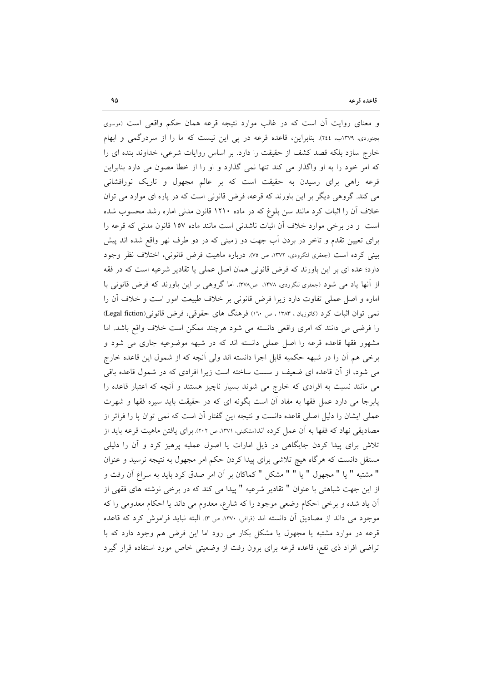و معنای روایت آن است که در غالب موارد نتیجه قرعه همان حکم واقعی است (موسوی بجنوردی، ۱۳۷۹ب. ٢٤٤). بنابراین، قاعده قرعه در یی این نیست که ما را از سردرگمی و ابهام خارج سازد بلکه قصد کشف از حقیقت را دارد. بر اساس روایات شرعی، خداوند بنده ای را که امر خود را به او واگذار می کند تنها نمی گذارد و او را از خطا مصون می دارد بنابراین قرعه راهی برای رسیدن به حقیقت است که بر عالم مجهول و تاریک نورافشانی می کند. گروهی دیگر بر این باورند که قرعه، فرض قانونی است که در پاره ای موارد می توان خلاف آن را اثبات کرد مانند سن بلوغ که در ماده ۱۲۱۰ قانون مدنی اماره رشد محسوب شده است و در برخی موارد خلاف آن اثبات ناشدنی است مانند ماده ۱۵۷ قانون مدنی که قرعه را برای تعیین تقدم و تاخر در بردن اَب جهت دو زمینی که در دو طرف نهر واقع شده اند پیش بيني كرده است (جعفري لنگرودي، ١٣٧٢، ص ٧٥). درباره ماهيت فرض قانوني، اختلاف نظر وجود دارد؛ عده ای بر این باورند که فرض قانونی همان اصل عملی یا تقادیر شرعیه است که در فقه از أنها ياد مي شود (جعفري لنگرودي، ١٣٧٨، ص٣٧٨). اما گروهي بر اين باورند كه فرض قانوني با اماره و اصل عملی تفاوت دارد زیرا فرض قانونی بر خلاف طبیعت امور است و خلاف آن را نمی توان اثبات کرد (کاتوزیان ، ۱۳۸۳ ، ص ١٦٠) فرهنگ های حقوقی، فرض قانونی(Legal fiction) را فرضی می دانند که امری واقعی دانسته می شود هرچند ممکن است خلاف واقع باشد. اما مشهور فقها قاعده قرعه را اصل عملی دانسته اند که در شبهه موضوعیه جاری می شود و برخی هم أن را در شبهه حکمیه قابل اجرا دانسته اند ولی أنچه که از شمول این قاعده خارج می شود، از آن قاعده ای ضعیف و سست ساخته است زیرا افرادی که در شمول قاعده باقی می مانند نسبت به افرادی که خارج می شوند بسیار ناچیز هستند و آنچه که اعتبار قاعده را پابرجا می دارد عمل فقها به مفاد آن است بگونه ای که در حقیقت باید سیره فقها و شهرت عملی ایشان را دلیل اصلی قاعده دانست و نتیجه این گفتار آن است که نمی توان پا را فراتر از مصادیقی نهاد که فقها به آن عمل کرده اند(مشکینی، ۱۳۷۱، ص ۲۰۲). برای یافتن ماهیت قرعه باید از تلاش برای پیدا کردن جایگاهی در ذیل امارات یا اصول عملیه پرهیز کرد و آن را دلیلی مستقل دانست که هرگاه هیچ تلاشی برای پیدا کردن حکم امر مجهول به نتیجه نرسید و عنوان " مشتبه " يا " مجهول " يا " " مشكل " كماكان بر أن امر صدق كرد بايد به سراغ أن رفت و از این جهت شباهتی با عنوان " تقادیر شرعیه " پیدا می کند که در برخی نوشته های فقهی از آن یاد شده و برخی احکام وضعی موجود را که شارع، معدوم می داند یا احکام معدومی را که موجود می داند از مصادیق آن دانسته اند (قرافی، ۱۳۷۰، ص ۳). البته نباید فراموش کرد که قاعده قرعه در موارد مشتبه یا مجهول یا مشکل بکار می رود اما این فرض هم وجود دارد که با تراضی افراد ذی نفع، قاعده قرعه برای برون رفت از وضعیتی خاص مورد استفاده قرار گیرد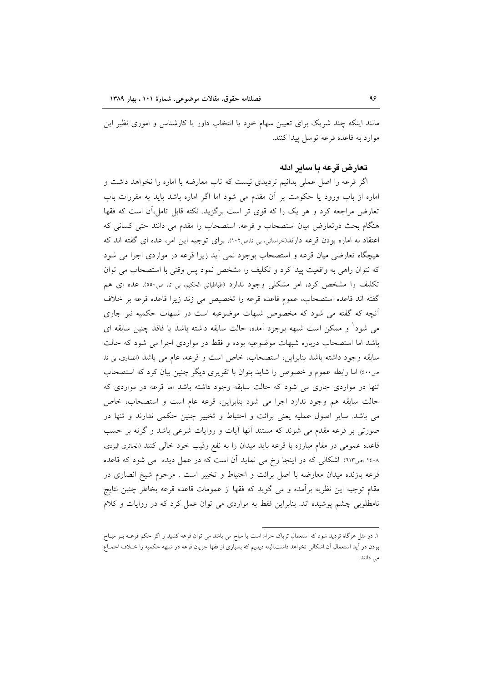مانند اینکه چند شریک برای تعیین سهام خود یا انتخاب داور یا کارشناس و اموری نظیر این موارد به قاعده قرعه توسل بيدا كنند.

## تعارض قرعه يا ساير ادله

اگر قرعه را اصل عملی بدانیم تردیدی نیست که تاب معارضه با اماره را نخواهد داشت و اماره از باب ورود یا حکومت بر آن مقدم می شود اما اگر اماره باشد باید به مقررات باب تعارض مراجعه کرد و هر یک را که قوی تر است برگزید. نکته قابل تامل،آن است که فقها هنگام بحث درتعارض میان استصحاب و قرعه، استصحاب را مقدم می دانند حتی کسانی که اعتقاد به اماره بودن قرعه دارند(حراسانی، بی تامص١٠٢). برای توجیه این امر، عده ای گفته اند که هیچگاه تعارضی میان قرعه و استصحاب بوجود نمی آید زیرا قرعه در مواردی اجرا می شود که نتوان راهی به واقعیت پیدا کرد و تکلیف را مشخص نمود پس وقتی با استصحاب می توان تکلیف را مشخص کرد، امر مشکلی وجود ندارد (طباطبائی الحکیم، بی تا، ص٥٥٠). عده ای هم گفته اند قاعده استصحاب، عموم قاعده قرعه را تخصیص می زند زیرا قاعده قرعه بر خلاف آنچه که گفته می شود که مخصوص شبهات موضوعیه است در شبهات حکمیه نیز جاری می شود' و ممکن است شبهه بوجود آمده، حالت سابقه داشته باشد یا فاقد چنین سابقه ای باشد اما استصحاب درباره شبهات موضوعیه بوده و فقط در مواردی اجرا می شود که حالت سابقه وجود داشته باشد بنابراین، استصحاب، خاص است و قرعه، عام می باشد (انصاری، بی تا، ص٤٠٠) اما رابطه عموم و خصوص را شايد بتوان با تقريرى ديگر چنين بيان كرد كه استصحاب تنها در مواردی جاری می شود که حالت سابقه وجود داشته باشد اما قرعه در مواردی که حالت سابقه هم وجود ندارد اجرا می شود بنابراین، قرعه عام است و استصحاب، خاص می باشد. سایر اصول عملیه یعنی برائت و احتیاط و تخییر چنین حکمی ندارند و تنها در صورتی بر قرعه مقدم می شوند که مستند آنها آیات و روایات شرعی باشد و گرنه بر حسب قاعده عمومی در مقام مبارزه با قرعه باید میدان را به نفع رقیب خود خالی کنند (الحائری الیزدی، ۱٤٠٨،ص١٣). اشكالي كه در اينجا رخ مي نمايد آن است كه در عمل ديده ً مي شود كه قاعده قرعه بازنده میدان معارضه با اصل برائت و احتیاط و تخییر است . مرحوم شیخ انصاری در مقام توجیه این نظریه برآمده و می گوید که فقها از عمومات قاعده قرعه بخاطر چنین نتایج نامطلوبی چشم پوشیده اند. بنابراین فقط به مواردی می توان عمل کرد که در روایات و کلام

١. در مثل هرگاه تردید شود که استعمال تریاک حرام است یا مباح می باشد می توان قرعه کشید و اگر حکم قرعــه بــر مبــاح بودن در آید استعمال آن اشکالی نخواهد داشت.البته دیدیم که بسیاری از فقها جریان قرعه در شبهه حکمیه را خــلاف اجمــاع می دانند.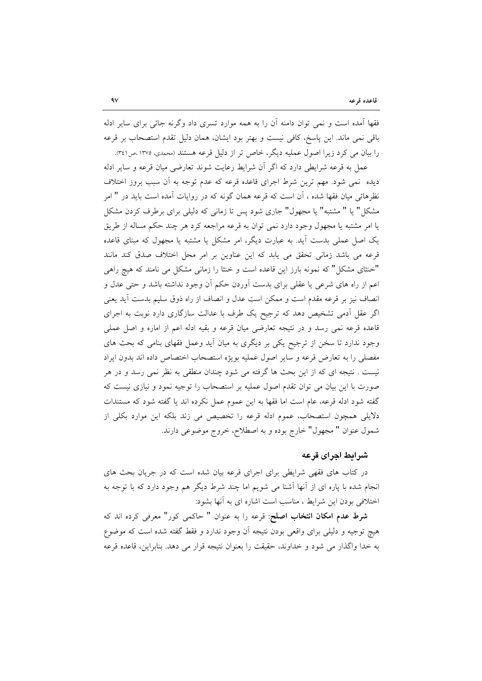فقها آمده است و نمی توان دامنه آن را به همه موارد تسری داد وگرنه جائی برای سایر ادله باقی نمی ماند. این پاسخ، کافی نیست و بهتر بود ایشان، همان دلیل تقدم استصحاب بر قرعه را بيان مي كرد زيرا اصول عمليه ديگر، خاص تر از دليل قرعه هستند (محمدي، ١٣٧٥ .ص١٤١).

عمل به قرعه شرایطی دارد که اگر آن شرایط رعایت شوند تعارضی میان قرعه و سایر ادله دیده ً نمی شود. مهم ترین شرط اجرای قاعده قرعه که عدم توجه به اَن سبب بروز اختلاف نظرهائی میان فقها شده ، آن است که قرعه همان گونه که در روایات آمده است باید در " امر مشکل" یا " مشتبه" یا مجهول" جاری شود پس تا زمانی که دلیلی برای برطرف کردن مشکل یا امر مشتبه یا مجهول وجود دارد نمی توان به قرعه مراجعه کرد هر چند حکم مساله از طریق یک اصل عملی بدست آید. به عبارت دیگر، امر مشکل یا مشتبه یا مجهول که مبنای قاعده قرعه می باشد زمانی تحقق می یابد که این عناوین بر امر محل اختلاف صدق کند مانند "خنثای مشکل" که نمونه بارز این قاعده است و خنثا را زمانی مشکل می نامند که هیچ راهی اعم از راه های شرعی یا عقلی برای بدست اَوردن حکم اَن وجود نداشته باشد و حتی عدل و انصاف نیز بر قرعه مقدم است و ممکن است عدل و انصاف از راه ذوق سلیم بدست آید یعنی اگر عقل ادمی تشخیص دهد که ترجیح یک طرف با عدالت سازگاری دارد نوبت به اجرای قاعده قرعه نمی رسد و در نتیجه تعارضی میان قرعه و بقیه ادله اعم از اماره و اصل عملی وجود ندارد تا سخن از ترجیح یکی بر دیگری به میان آید وعمل فقهای بنامی که بحث های مفصلی را به تعارض قرعه و سایر اصول عملیه بویژه استصحاب اختصاص داده اند بدون ایراد نیست . نتیجه ای که از این بحث ها گرفته می شود چندان منطقی به نظر نمی رسد و در هر صورت با این بیان می توان تقدم اصول عملیه بر استصحاب را توجیه نمود و نیازی نیست که گفته شود ادله قرعه، عام است اما فقها به این عموم عمل نکرده اند یا گفته شود که مستندات دلایلی همچون استصحاب، عموم ادله قرعه را تخصیص می زند بلکه این موارد بکلی از شمول عنوان " مجهول" خارج بوده و به اصطلاح، خروج موضوعي دارند.

## شرائط اجراي قرعه

در کتاب های فقهی شرایطی برای اجرای قرعه بیان شده است که در جریان بحث های انجام شده با پاره ای از آنها آشنا می شویم اما چند شرط دیگر هم وجود دارد که با توجه به اختلافی بودن این شرایط ، مناسب است اشاره ای به آنها بشود:

**شرط عدم امکان انتخاب اصلح**: قرعه را به عنوان " حاکمی کور" معرفی کرده اند که هیچ توجیه و دلیلی برای واقعی بودن نتیجه آن وجود ندارد و فقط گفته شده است که موضوع به خدا واگذار می شود و خداوند، حقیقت را بعنوان نتیجه قرار می دهد. بنابراین، قاعده قرعه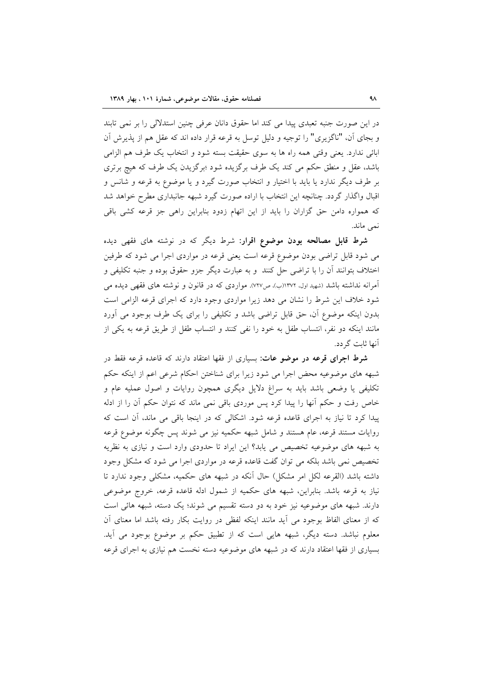در این صورت جنبه تعبدی پیدا می کند اما حقوق دانان عرفی چنین استدلالی را بر نمی تابند و بجاي آن، "ناگزيري" را توجيه و دليل توسل به قرعه قرار داده اند كه عقل هم از پذيرش آن ابائی ندارد. یعنی وقتی همه راه ها به سوی حقیقت بسته شود و انتخاب یک طرف هم الزامی باشد، عقل و منطق حکم می کند یک طرف برگزیده شود ؛برگزیدن یک طرف که هیچ برتری بر طرف دیگر ندارد یا باید با اختیار و انتخاب صورت گیرد و یا موضوع به قرعه و شانس و اقبال واگذار گردد. چنانچه این انتخاب با اراده صورت گیرد شبهه جانبداری مطرح خواهد شد که همواره دامن حق گزاران را باید از این اتهام زدود بنابراین راهی جز قرعه کشی باقی نمي ماند.

**شرط قابل مصالحه بودن موضوع اقرار**: شرط دیگر که در نوشته های فقهی دیده می شود قابل تراضی بودن موضوع قرعه است یعنی قرعه در مواردی اجرا می شود که طرفین اختلاف بتوانند أن را با تراضى حل كنند ًو به عبارت ديگر جزو حقوق بوده و جنبه تكليفي و آمرانه نداشته باشد (شهید اول، ۱۳۷۲(ب)، ص۷۲۷). مواردی که در قانون و نوشته های فقهی دیده می شود خلاف این شرط را نشان می دهد زیرا مواردی وجود دارد که اجرای قرعه الزامی است بدون اینکه موضوع آن، حق قابل تراضی باشد و تکلیفی را برای یک طرف بوجود می آورد مانند اینکه دو نفر، انتساب طفل به خود را نفی کنند و انتساب طفل از طریق قرعه به یکی از آنها ثابت گر دد.

**شرط اجرای قرعه در موضو عات**: بسیاری از فقها اعتقاد دارند که قاعده قرعه فقط در شبهه های موضوعیه محض اجرا می شود زیرا برای شناختن احکام شرعی اعم از اینکه حکم تکلیفی یا وضعی باشد باید به سراغ دلایل دیگری همچون روایات و اصول عملیه عام و خاص رفت و حکم آنها را پیدا کرد پس موردی باقی نمی ماند که نتوان حکم آن را از ادله پیدا کرد تا نیاز به اجرای قاعده قرعه شود. اشکالی که در اینجا باقی می ماند، آن است که روایات مستند قرعه، عام هستند و شامل شبهه حکمیه نیز می شوند پس چگونه موضوع قرعه به شبهه های موضوعیه تخصیص می یابد؟ این ایراد تا حدودی وارد است و نیازی به نظریه تخصیص نمی باشد بلکه می توان گفت قاعده قرعه در مواردی اجرا می شود که مشکل وجود داشته باشد (القرعه لكل امر مشكل) حال آنكه در شبهه هاى حكميه، مشكلي وجود ندارد تا نیاز به قرعه باشد. بنابراین، شبهه های حکمیه از شمول ادله قاعده قرعه، خروج موضوعی دارند. شبهه های موضوعیه نیز خود به دو دسته تقسیم می شوند؛ یک دسته، شبهه هائی است که از معنای الفاظ بوجود می آید مانند اینکه لفظی در روایت بکار رفته باشد اما معنای آن معلوم نباشد. دسته دیگر، شبهه هایی است که از تطبیق حکم بر موضوع بوجود می آید. بسیاری از فقها اعتقاد دارند که در شبهه های موضوعیه دسته نخست هم نیازی به اجرای قرعه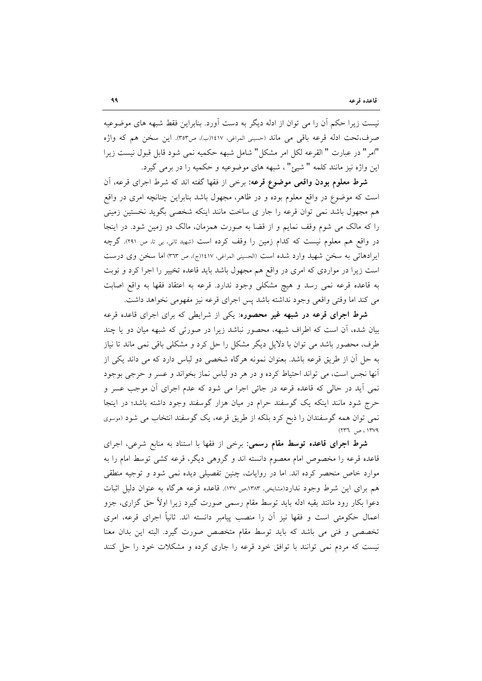نیست زیرا حکم آن را می توان از ادله دیگر به دست آورد. بنابراین فقط شبهه های موضوعیه صرف،تحت ادله قرعه باقي مي ماند (حسيني المراغي، ١٤١٧(ب)، ص٣٥٣). اين سخن هم كه واژه "امر" در عبارت " القرعه لكل امر مشكل" شامل شبهه حكميه نمي شود قابل قبول نيست زيرا اين واژه نيز مانند كلمه " شيئ"، شبهه هاي موضوعيه و حكميه را در برمي گيرد.

**شرط معلوم بودن واقعی موضوع قرعه**: برخی از فقها گفته اند که شرط اجرای قرعه، آن است که موضوع در واقع معلوم بوده و در ظاهر، مجهول باشد بنابراین چنانچه امری در واقع هم مجهول باشد نمی توان قرعه را جار ی ساخت مانند اینکه شخصی بگوید نخستین زمینی را كه مالك مى شوم وقف نمايم و از قضا به صورت همزمان، مالك دو زمين شود. در اينجا در واقع هم معلوم نیست که کدام زمین را وقف کرده است (شهید ثانی، بی تا، ص ۲۹۱). گرچه ايرادهائي به سخن شهيد وارد شده است (الحسيني المراغي، ١٤١٧ج)، ص ٣٦٣) اما سخن وي درست است زیرا در مواردی که امری در واقع هم مجهول باشد باید قاعده تخییر را اجرا کرد و نوبت به قاعده قرعه نمی رسد و هیچ مشکلی وجود ندارد. قرعه به اعتقاد فقها به واقع اصابت مي كند اما وقتي واقعي وجود نداشته باشد پس اجراي قرعه نيز مفهومي نخواهد داشت.

**شرط اجرای قرعه در شبهه غیر محصوره**: یکی از شرایطی که برای اجرای قاعده قرعه بیان شده، آن است که اطراف شبهه، محصور نباشد زیرا در صورتی که شبهه میان دو یا چند طرف، محصور باشد می توان با دلایل دیگر مشکل را حل کرد و مشکلی باقی نمی ماند تا نیاز به حل آن از طریق قرعه باشد. بعنوان نمونه هرگاه شخصی دو لباس دارد که می داند یکی از أنها نجس است، می تواند احتیاط کرده و در هر دو لباس نماز بخواند و عسر و حرجی بوجود نمي آيد در حالي كه قاعده قرعه در جائي اجرا مي شود كه عدم اجراي آن موجب عسر و حرج شود مانند اینکه یک گوسفند حرام در میان هزار گوسفند وجود داشته باشد؛ در اینجا نمی توان همه گوسفندان را ذبح کرد بلکه از طریق قرعه، یک گوسفند انتخاب می شود (موسوی  $(147.1)$  ص  $147/9$ 

**شرط اجرای قاعده توسط مقام رسمی**: برخی از فقها با استناد به منابع شرعی، اجرای قاعده قرعه را مخصوص امام معصوم دانسته اند و گروهی دیگر، قرعه کشی توسط امام را به موارد خاص منحصر کرده اند. اما در روایات، چنین تفصیلی دیده نمی شود و توجیه منطقی هم برای این شرط وجود ندارد(مشایخی، ۱۳۸۳،ص ۱۳۷). قاعده قرعه هرگاه به عنوان دلیل اثبات دعوا بکار رود مانند بقیه ادله باید توسط مقام رسمی صورت گیرد زیرا اولاً حق گزاری، جزو اعمال حکومتی است و فقها نیز آن را منصب پیامبر دانسته اند. ثانیاً اجرای قرعه، امری تخصصی و فنی می باشد که باید توسط مقام متخصص صورت گیرد. البته این بدان معنا نیست که مردم نمی توانند با توافق خود قرعه را جاری کرده و مشکلات خود را حل کنند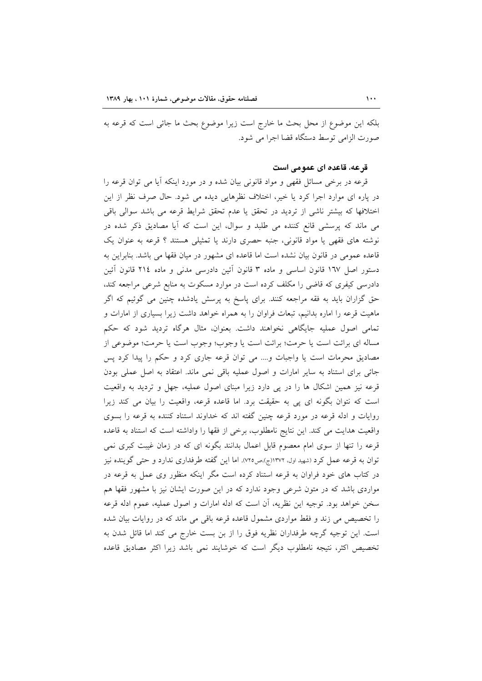بلکه این موضوع از محل بحث ما خارج است زیرا موضوع بحث ما جائی است که قرعه به صورت الزامي توسط دستگاه قضا اجرا مي شود.

### قرعه، قاعده ای عمومی است

قرعه در برخی مسائل فقهی و مواد قانونی بیان شده و در مورد اینکه آیا می توان قرعه را در پاره ای موارد اجرا کرد یا خیر، اختلاف نظرهایی دیده می شود. حال صرف نظر از این اختلافها كه بيشتر ناشي از ترديد در تحقق يا عدم تحقق شرايط قرعه مي باشد سوالي باقي می ماند که پرسشی قانع کننده می طلبد و سوال، این است که آیا مصادیق ذکر شده در نوشته های فقهی یا مواد قانونی، جنبه حصری دارند یا تمثیلی هستند ؟ قرعه به عنوان یک قاعده عمومی در قانون بیان نشده است اما قاعده ای مشهور در میان فقها می باشد. بنابراین به دستور اصل ١٦٧ قانون اساسي و ماده ٣ قانون آئين دادرسي مدني و ماده ٢١٤ قانون آئين دادرسی کیفری که قاضی را مکلف کرده است در موارد مسکوت به منابع شرعی مراجعه کند، حق گزاران باید به فقه مراجعه کنند. برای پاسخ به پرسش یادشده چنین می گوئیم که اگر ماهیت قرعه را اماره بدانیم، تبعات فراوان را به همراه خواهد داشت زیرا بسیاری از امارات و تمامی اصول عملیه جایگاهی نخواهند داشت. بعنوان، مثال هرگاه تردید شود که حکم مساله ای برائت است یا حرمت؛ برائت است یا وجوب؛ وجوب است یا حرمت؛ موضوعی از مصادیق محرمات است یا واجبات و.... می توان قرعه جاری کرد و حکم را پیدا کرد پس جائی برای استناد به سایر امارات و اصول عملیه باقی نمی ماند. اعتقاد به اصل عملی بودن قرعه نیز همین اشکال ها را در پی دارد زیرا مبنای اصول عملیه، جهل و تردید به واقعیت است که نتوان بگونه ای پی به حقیقت برد. اما قاعده قرعه، واقعیت را بیان می کند زیرا روایات و ادله قرعه در مورد قرعه چنین گفته اند که خداوند استناد کننده به قرعه را بسوی واقعیت هدایت می کند. این نتایج نامطلوب، برخی از فقها را واداشته است که استناد به قاعده قرعه را تنها از سوی امام معصوم قابل اعمال بدانند بگونه ای که در زمان غیبت کبری نمی توان به قرعه عمل کرد (شهید اول، ۱۳۷۲(ج)،ص۷۲0). اما این گفته طرفداری ندارد و حتی گوینده نیز در کتاب های خود فراوان به قرعه استناد کرده است مگر اینکه منظور وی عمل به قرعه در مواردی باشد که در متون شرعی وجود ندارد که در این صورت ایشان نیز با مشهور فقها هم سخن خواهد بود. توجیه این نظریه، آن است که ادله امارات و اصول عملیه، عموم ادله قرعه را تخصیص می زند و فقط مواردی مشمول قاعده قرعه باقی می ماند که در روایات بیان شده است. این توجیه گرچه طرفداران نظریه فوق را از بن بست خارج می کند اما قائل شدن به تخصیص اکثر، نتیجه نامطلوب دیگر است که خوشایند نمی باشد زیرا اکثر مصادیق قاعده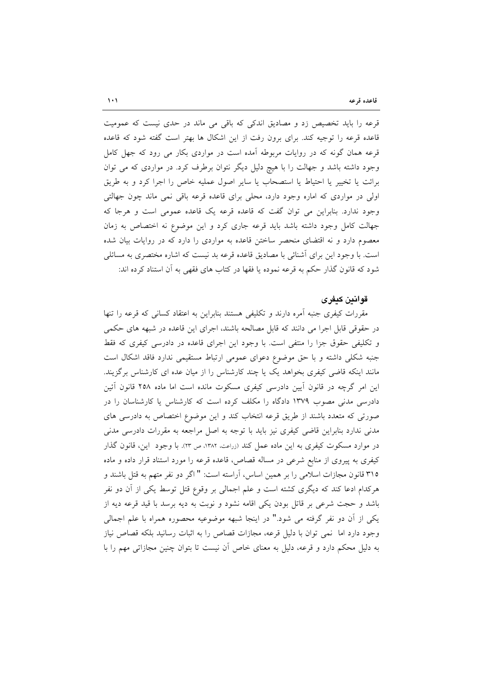قرعه را باید تخصیص زد و مصادیق اندکی که باقی می ماند در حدی نیست که عمومیت قاعده قرعه را توجیه کند. برای برون رفت از این اشکال ها بهتر است گفته شود که قاعده قرعه همان گونه که در روایات مربوطه آمده است در مواردی بکار می رود که جهل کامل وجود داشته باشد و جهالت را با هیچ دلیل دیگر نتوان برطرف کرد. در مواردی که می توان برائت یا تخییر یا احتیاط یا استصحاب یا سایر اصول عملیه خاص را اجرا کرد و به طریق اولی در مواردی که اماره وجود دارد، محلی برای قاعده قرعه باقی نمی ماند چون جهالتی وجود ندارد. بنابراین می توان گفت که قاعده قرعه یک قاعده عمومی است و هرجا که جهالت كامل وجود داشته باشد بايد قرعه جارى كرد و اين موضوع نه اختصاص به زمان معصوم دارد و نه اقتضای منحصر ساختن قاعده به مواردی را دارد که در روایات بیان شده است. با وجود این برای آشنائی با مصادیق قاعده قرعه بد نیست که اشاره مختصری به مسائلی شود که قانون گذار حکم به قرعه نموده یا فقها در کتاب های فقهی به آن استناد کرده اند:

## قوانين كيفرى

مقررات کیفری جنبه آمره دارند و تکلیفی هستند بنابراین به اعتقاد کسانی که قرعه را تنها در حقوقی قابل اجرا می دانند که قابل مصالحه باشند، اجرای این قاعده در شبهه های حکمی و تکلیفی حقوق جزا را منتفی است. با وجود این اجرای قاعده در دادرسی کیفری که فقط جنبه شکلی داشته و با حق موضوع دعوای عمومی ارتباط مستقیمی ندارد فاقد اشکال است مانند اینکه قاضی کیفری بخواهد یک یا چند کارشناس را از میان عده ای کارشناس برگزیند. این امر گرچه در قانون آیین دادرسی کیفری مسکوت مانده است اما ماده ۲۵۸ قانون آئین دادرسی مدنی مصوب ۱۳۷۹ دادگاه را مکلف کرده است که کارشناس یا کارشناسان را در صورتی که متعدد باشند از طریق قرعه انتخاب کند و این موضوع اختصاص به دادرسی های مدنی ندارد بنابراین قاضی کیفری نیز باید با توجه به اصل مراجعه به مقررات دادرسی مدنی در موارد مسکوت کیفری به این ماده عمل کند (زراعت، ۱۳۸۲، ص ۲۳). با وجود این، قانون گذار کیفری به پیروی از منابع شرعی در مساله قصاص، قاعده قرعه را مورد استناد قرار داده و ماده ۳۱۵ قانون مجازات اسلامی را بر همین اساس، آراسته است: " اگر دو نفر متهم به قتل باشند و هرکدام ادعا کند که دیگری کشته است و علم اجمالی بر وقوع قتل توسط یکی از آن دو نفر باشد و حجت شرعی بر قاتل بودن یکی اقامه نشود و نوبت به دیه برسد با قید قرعه دیه از یکی از آن دو نفر گرفته می شود." در اینجا شبهه موضوعیه محصوره همراه با علم اجمالی وجود دارد اما ً نمي توان با دليل قرعه، مجازات قصاص را به اثبات رسانيد بلكه قصاص نياز به دلیل محکم دارد و قرعه، دلیل به معنای خاص آن نیست تا بتوان چنین مجازاتی مهم را با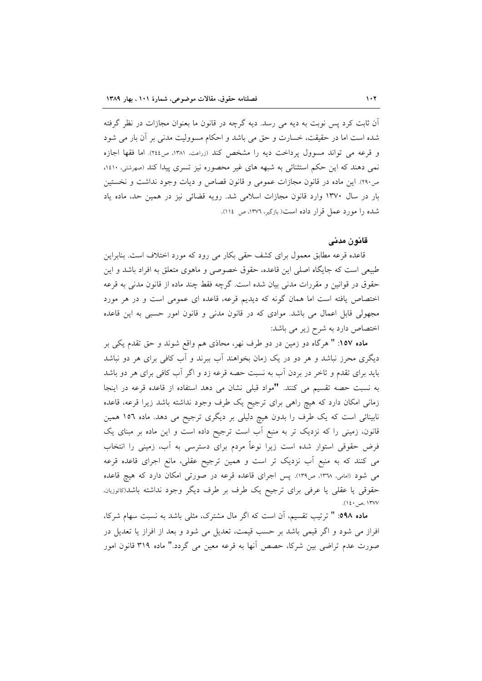آن ثابت کرد پس نوبت به دیه می رسد. دیه گرچه در قانون ما بعنوان مجازات در نظر گرفته شده است اما در حقیقت، خسارت و حق می باشد و احکام مسوولیت مدنی بر آن بار می شود و قرعه می تواند مسوول پرداخت دیه را مشخص کند (زراعت، ۱۳۸۱، ص۲٤٤). اما فقها اجازه نمی دهند که این حکم استثنائی به شبهه های غیر محصوره نیز تسری پیدا کند (صهرشتی، ۱٤۱۰، ص٢٩٠). اين ماده در قانون مجازات عمومي و قانون قصاص و ديات وجود نداشت و نخستين بار در سال ۱۳۷۰ وارد قانون مجازات اسلامی شد. رویه قضائی نیز در همین حد، ماده یاد شده را مورد عمل قرار داده است( بازگیر، ١٣٧٦، ص ١١٤).

#### قانون مدنى

قاعده قرعه مطابق معمول برای کشف حقی بکار می رود که مورد اختلاف است. بنابراین طبیعی است که جایگاه اصلی این قاعده، حقوق خصوصی و ماهوی متعلق به افراد باشد و این حقوق در قوانین و مقررات مدنی بیان شده است. گرچه فقط چند ماده از قانون مدنی به قرعه اختصاص یافته است اما همان گونه که دیدیم قرعه، قاعده ای عمومی است و در هر مورد مجهولي قابل اعمال مي باشد. موادي كه در قانون مدني و قانون امور حسبي به اين قاعده اختصاص دارد به شرح زیر می باشد:

ماده ۱۵۷: " هرگاه دو زمین در دو طرف نهر، محاذی هم واقع شوند و حق تقدم یکی بر دیگری محرز نباشد و هر دو در یک زمان بخواهند آب ببرند و آب کافی برای هر دو نباشد باید برای تقدم و تاخر در بردن آب به نسبت حصه قرعه زد و اگر آب کافی برای هر دو باشد به نسبت حصه تقسیم می کنند. "مواد قبلی نشان می دهد استفاده از قاعده قرعه در اینجا زمانی امکان دارد که هیچ راهی برای ترجیح یک طرف وجود نداشته باشد زیرا قرعه، قاعده نابینائی است که یک طرف را بدون هیچ دلیلی بر دیگری ترجیح می دهد. ماده ۱۵۲ همین قانون، زمینی را که نزدیک تر به منبع آب است ترجیح داده است و این ماده بر مبنای یک فرض حقوقی استوار شده است زیرا نوعاً مردم برای دسترسی به آب، زمینی را انتخاب می کنند که به منبع اّب نزدیک تر است و همین ترجیح عقلی، مانع اجرای قاعده قرعه می شود (امامی، ١٣٦٨، ص١٣٩). پس اجرای قاعده قرعه در صورتی امکان دارد که هیچ قاعده حقوقی یا عقلی یا عرفی برای ترجیح یک طرف بر طرف دیگر وجود نداشته باشد(کاتوزیان، ١٣٧٧ ،ص ١٤٠).

ماده ٥٩٨: " ترتيب تقسيم، أن است كه اگر مال مشترك، مثلي باشد به نسبت سهام شركا، افراز می شود و اگر قیمی باشد بر حسب قیمت، تعدیل می شود و بعد از افراز یا تعدیل در صورت عدم تراضی بین شرکا، حصص آنها به قرعه معین می گردد." ماده ۳۱۹ قانون امور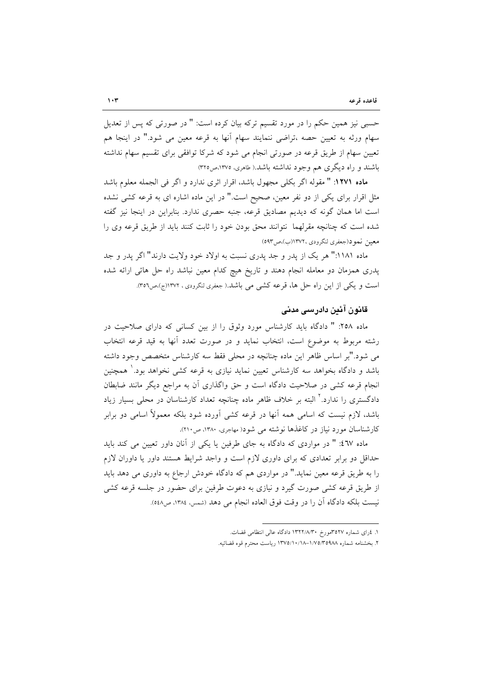حسبی نیز همین حکم را در مورد تقسیم ترکه بیان کرده است: " در صورتی که پس از تعدیل سهام ورثه به تعیین حصه ،تراضی ننمایند سهام آنها به قرعه معین می شود." در اینجا هم تعیین سهام از طریق قرعه در صورتی انجام می شود که شرکا توافقی برای تقسیم سهام نداشته باشند و راه دیگری هم وجود نداشته باشد.( طاهری، ۱۳۷۵،ص۲۲۵)

ماده ١٢٧١: " مقوله اگر بكلي مجهول باشد، اقرار اثري ندارد و اگر في الجمله معلوم باشد مثل اقرار برای یکی از دو نفر معین، صحیح است." در این ماده اشاره ای به قرعه کشی نشده است اما همان گونه که دیدیم مصادیق قرعه، جنبه حصری ندارد. بنابراین در اینجا نیز گفته شده است که چنانچه مقرلهما نتوانند محق بودن خود را ثابت کنند باید از طریق قرعه وی را معين نمود(جعفري لنگرودي ١٣٧٢(ب)،ص٥٩٣)

ماده ۱۱۸۱:" هر یک از پدر و جد پدری نسبت به اولاد خود ولایت دارند" اگر پدر و جد یدری همزمان دو معامله انجام دهند و تاریخ هیچ کدام معین نباشد راه حل هائی ارائه شده است و یکی از این راه حل ها، قرعه کشی می باشد.( جعفری لنگرودی ، ۱۳۷۲(ج)،ص٣٥٦).

## قانون آئین دادرسی مدنی

ماده ۲۵۸: " دادگاه باید کارشناس مورد وثوق را از بین کسانی که دارای صلاحیت در رشته مربوط به موضوع است، انتخاب نمايد و در صورت تعدد آنها به قيد قرعه انتخاب می شود."بر اساس ظاهر این ماده چنانچه در محلی فقط سه کارشناس متخصص وجود داشته باشد و دادگاه بخواهد سه کارشناس تعیین نماید نیازی به قرعه کشی نخواهد بود.' همچنین انجام قرعه کشی در صلاحیت دادگاه است و حق واگذاری آن به مراجع دیگر مانند ضابطان دادگستری را ندارد.<sup>۲</sup> البته بر خلاف ظاهر ماده چنانچه تعداد کارشناسان در محل<sub>ی</sub> بسیار زیاد باشد، لازم نیست که اسامی همه آنها در قرعه کشی آورده شود بلکه معمولاً اسامی دو برابر کارشناسان مورد نیاز در کاغذها نوشته می شود( مهاجری، ۱۳۸۰، ص۲۱۰).

ماده ٤٦٧: " در مواردى كه دادگاه به جاى طرفين يا يكى از آنان داور تعيين مى كند بايد حداقل دو برابر تعدادی که برای داوری لازم است و واجد شرایط هستند داور یا داوران لازم را به طریق قرعه معین نماید." در مواردی هم که دادگاه خودش ارجاع به داوری می دهد باید از طریق قرعه کشی صورت گیرد و نیازی به دعوت طرفین برای حضور در جلسه قرعه کشی نيست بلكه دادگاه آن را در وقت فوق العاده انجام مي دهد (شمس، ١٣٨٤، ص٥٤٨).

١. ٤راى شماره ٣٥٢٧مورخ ١٣٢٢/٨/٣٠ دادگاه عالى انتظامى قضات.

۲. بخشنامه شماره ۱/۷۵/۳۵۹۸۸–۱۳۷۵/۱۰/۱۸ ریاست محترم قوه قضائیه.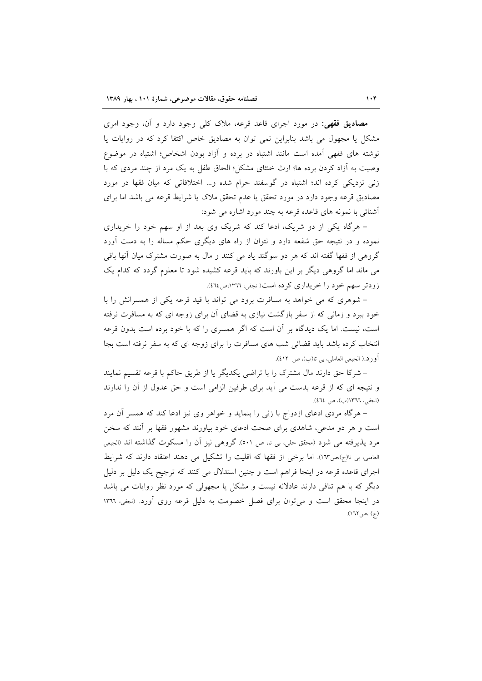مصادیق فقهی: در مورد اجرای قاعد قرعه، ملاک کل<sub>ی</sub> وجود دارد و آن، وجود امری مشکل یا مجهول می باشد بنابراین نمی توان به مصادیق خاص اکتفا کرد که در روایات یا نوشته های فقهی آمده است مانند اشتباه در برده و آزاد بودن اشخاص؛ اشتباه در موضوع وصیت به آزاد کردن برده ها؛ ارث خنثای مشکل؛ الحاق طفل به یک مرد از چند مردی که با زنی نزدیکی کرده اند؛ اشتباه در گوسفند حرام شده و… اختلافاتی که میان فقها در مورد مصادیق قرعه وجود دارد در مورد تحقق یا عدم تحقق ملاک یا شرایط قرعه می باشد اما برای أشنائه ٍ با نمونِه های قاعده قرعه به چند مورد اشاره می شود:

– هرگاه یکی از دو شریک، ادعا کند که شریک وی بعد از او سهم خود را خریداری نموده و در نتیجه حق شفعه دارد و نتوان از راه های دیگری حکم مساله را به دست آورد گروهی از فقها گفته اند که هر دو سوگند یاد می کنند و مال به صورت مشترک میان آنها باقی می ماند اما گروهی دیگر بر این باورند که باید قرعه کشیده شود تا معلوم گردد که کدام یک زودتر سهم خود را خریداری کرده است(نجفی، ١٣٦٦،ص١٤٦٤).

– شوهری که می خواهد به مسافرت برود می تواند با قید قرعه یکی از همسرانش را با خود ببرد و زمانی که از سفر بازگشت نیازی به قضای آن برای زوجه ای که به مسافرت نرفته است، نیست. اما یک دیدگاه بر آن است که اگر همسری را که با خود برده است بدون قرعه انتخاب کرده باشد باید قضائی شب های مسافرت را برای زوجه ای که به سفر نرفته است بجا أورد.( الجبعي العاملي، بي تا(ب)، ص ٤١٢).

– شرکا حق دارند مال مشترک را با تراضی یکدیگر یا از طریق حاکم با قرعه تقسیم نمایند و نتيجه اي كه از قرعه بدست مي آيد براي طرفين الزامي است و حق عدول از آن را ندارند (نجفي، ١٣٦٦(ب)، ص ٤٦٤).

– هرگاه مردی ادعای ازدواج با زنبی را بنماید و خواهر وی نیز ادعا کند که همسر آن مرد است و هر دو مدعی، شاهدی برای صحت ادعای خود بیاورند مشهور فقها بر آنند که سخن مرد يذيرفته مي شود (محقق حلي، بي تا، ص ٥٠١). گروهي نيز آن را مسكوت گذاشته اند (الجبعي العاملي، بي تا(ج)،ص١٦٣). اما برخي از فقها كه اقليت را تشكيل مي دهند اعتقاد دارند كه شرايط اجرای قاعده قرعه در اینجا فراهم است و چنین استدلال می کنند که ترجیح یک دلیل بر دلیل دیگر که با هم تنافی دارند عادلانه نیست و مشکل یا مجهولی که مورد نظر روایات می باشد در اینجا محقق است و می توان برای فصل خصومت به دلیل قرعه روی آورد. (نجفی، ١٣٦٦  $(177, \infty)$ ، ص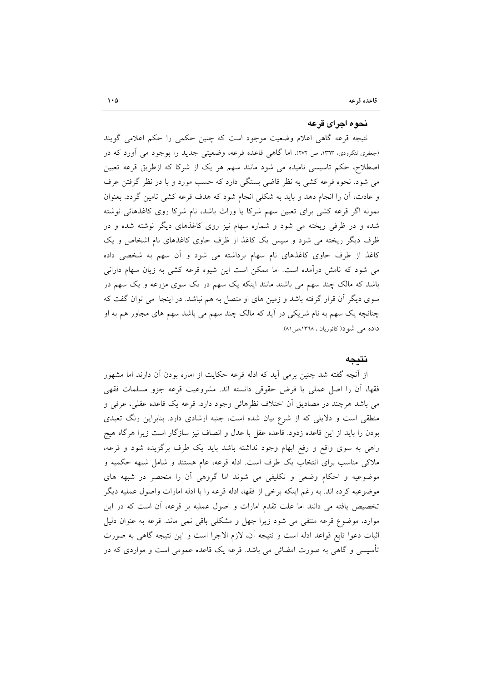#### نحوه اجراي قرعه

نتیجه قرعه گاهی اعلام وضعیت موجود است که چنین حکمی را حکم اعلامی گویند (جعفری لنگرودی، ۱۳٦۳، ص ۲۷۲). اما گاهی قاعده قرعه، وضعیتی جدید را بوجود می آورد که در اصطلاح، حکم تاسیسی نامیده می شود مانند سهم هر یک از شرکا که ازطریق قرعه تعیین می شود. نحوه قرعه کشی به نظر قاضی بستگی دارد که حسب مورد و با در نظر گرفتن عرف و عادت، أن را انجام دهد و بايد به شكلي انجام شود كه هدف قرعه كشي تامين گردد. بعنوان نمونه اگر قرعه کشی برای تعیین سهم شرکا یا وراث باشد، نام شرکا روی کاغذهائی نوشته شده و در ظرفی ریخته می شود و شماره سهام نیز روی کاغذهای دیگر نوشته شده و در ظرف دیگر ریخته می شود و سپس یک کاغذ از ظرف حاوی کاغذهای نام اشخاص و یک کاغذ از ظرف حاوی کاغذهای نام سهام برداشته می شود و آن سهم به شخصی داده می شود که نامش درآمده است. اما ممکن است این شیوه قرعه کشی به زیان سهام دارانی باشد که مالک چند سهم می باشند مانند اینکه یک سهم در یک سوی مزرعه و یک سهم در سوی دیگر آن قرار گرفته باشد و زمین های او متصل به هم نباشد. در اینجا ً می توان گفت که چنانچه یک سهم به نام شریکی در آید که مالک چند سهم می باشد سهم های مجاور هم به او داده می شود( کاتوزیان ، ١٣٦٨،ص ٨١).

## نتىحە

از آنچه گفته شد چنین برمی آید که ادله قرعه حکایت از اماره بودن آن دارند اما مشهور فقها، أن را اصل عملي يا فرض حقوقي دانسته اند. مشروعيت قرعه جزو مسلمات فقهي می باشد هرچند در مصادیق آن اختلاف نظرهائی وجود دارد. قرعه یک قاعده عقلی، عرفی و منطقی است و دلایلی که از شرع بیان شده است، جنبه ارشادی دارد. بنابراین رنگ تعبدی بودن را باید از این قاعده زدود. قاعده عقل با عدل و انصاف نیز سازگار است زیرا هرگاه هیچ راهی به سوی واقع و رفع ابهام وجود نداشته باشد باید یک طرف برگزیده شود و قرعه، ملاکی مناسب برای انتخاب یک طرف است. ادله قرعه، عام هستند و شامل شبهه حکمیه و موضوعیه و احکام وضعی و تکلیفی می شوند اما گروهی آن را منحصر در شبهه های موضوعيه كرده اند. به رغم اينكه برخي از فقها، ادله قرعه را با ادله امارات واصول عمليه ديگر تخصیص یافته می دانند اما علت تقدم امارات و اصول عملیه بر قرعه، أن است که در این موارد، موضوع قرعه منتفی می شود زیرا جهل و مشکلی باقی نمی ماند. قرعه به عنوان دلیل اثبات دعوا تابع قواعد ادله است و نتيجه آن، لازم الاجرا است و اين نتيجه گاهي به صورت تأسیسی و گاهی به صورت امضائی می باشد. قرعه یک قاعده عمومی است و مواردی که در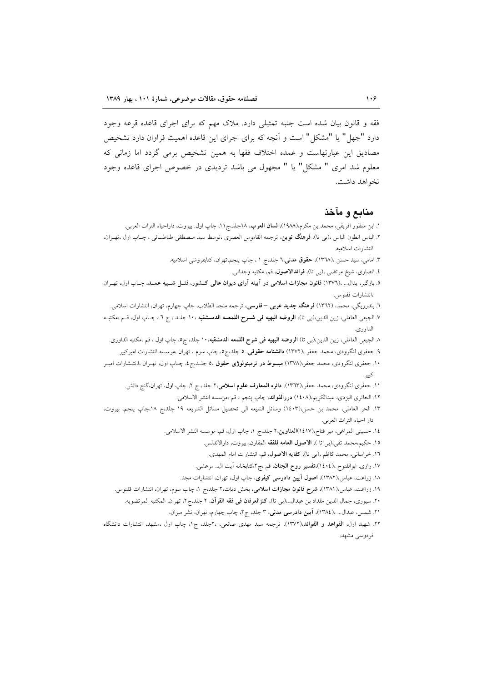فقه و قانون بیان شده است جنبه تمثیلی دارد. ملاک مهم که برای اجرای قاعده قرعه وجود دارد "جهل" یا "مشکل" است و آنچه که برای اجرای این قاعده اهمیت فراوان دارد تشخیص مصادیق این عبارتهاست و عمده اختلاف فقها به همین تشخیص برمی گردد اما زمانی که معلوم شد امری " مشکل" یا " مجهول می باشد تردیدی در خصوص اجرای قاعده وجود نخواهد داشت.

## منابع و مآخذ

١. ابن منظور افريقي، محمد بن مكرم،(١٩٨٨)، **لسان العرب**، ١٨جلد،ج١١، چاپ اول. بيروت، داراحياء التراث العربي.

- ۲. الیاس انطون الیاس ،(بی تا)، فرهنگ نوین، ترجمه القاموس العصری ،توسط سید مـصطفی طباطبـائی ، چـاپ اول ،تهـران، انتشارات اسلاميه.
	- ۳. امامی، سید حسن ،(۱۳٦۸)، حقوق مدنی،٦ جلد،ج ١ ، چاپ پنجم،تهران، کتابفروشی اسلامیه.
		- ٤. انصاري، شيخ مرتضى ،(بي تا)، فرائدالاصول، قم، مكتبه وجداني.
- ۵. بازگیر، یدال... ،(۱۳۷٦) قانون مجازات اسلامی در آیینه آرای دیوان عالمی کشور، قتـل شـبیه عمـد، چـاپ اول، تهـران ،انتشارات ققنوس.
	- ٦. بندرريگي، محمد، (١٣٦٢) **فرهنگ جديد عربي فارسي**، ترجمه منجد الطلاب، چاپ چهارم، تهران، انتشارات اسلامي.
- ٧. الجبعي العاملي، زين الدين،(بي تا)، **الروضه البهيه في شــرح اللمعــه الدمــشقيه** ١٠، جلـد ، ج ٦ ، چـاپ اول، قــم ،مكتبــه الداوري.
	- ٨ الجبعي العاملي، زين الدين،(بي تا) **الروضه البهيه في شرح اللمعه الدمشقيه**. ١٠ جلد، ج٥، چاپ اول ، قم ،مكتبه الداورى.
- ۹. جعفری لنگرودی، محمد جعفر ،(۱۳۷۲) **دانشنامه حقوقی**، ۵ جلد،ج۵، چاپ سوم ، تهران ،موسسه انتشارات امیرکبیر.
- ۱۰. جعفری لنگرودی، محمد جعفر،(۱۳۷۸) م**بسوط در ترمینولوژی حقوق ،۵** جلـد،ج <sup>پ</sup>ه چـاپ اول، تهـران ،ا،نتـشارات اميـر
	- ١١. جعفري لنگرودي، محمد جعفر،(١٣٦٣)، **دائره المعارف علوم اسلامي،٢** جلد، ج ٢، چاپ اول، تهران،گنج دانش.
		- ١٢. الحائري اليزدي، عبدالكريم،(١٤٠٨) **دررالفوائد**، چاپ پنجم ، قم ،موسسه النشر الاسلامي.
- ۱۳. الحر العاملي، محمد بن حسن،(۱٤۰۳) وسائل الشيعه الى تحصيل مسائل الشريعه ١٩ جلد،ج ١٨،چاپ پنجم، بيروت، دار احياء التراث العربي.
	- ١٤. حسيني المراغي، مير فتاح،(١٤١٧)ا**لعناوين،٢** جلد،ج ١، چاپ اول، قم، موسسه النشر الاسلامي.
		- ١٥. حكيم،محمد تقى،(بي تا )، الاصول العامه للفقه المقارن، بيروت، دارالاندلس.
			- ۱٦. خراسانی، محمد کاظم ،(ب<sub>ی</sub> تا)، **کفایه الاصول**، قم، انتشارات امام المهدی.
		- ۱۷. رازی، ابوالفتوح ،( ۱٤٠٤)،**تفسیر روح الجنان**، قم ،ج ۲،کتابخانه آیت ال<sub>.</sub>. مرعشی.
		- ۱۸. زراعت، عباس،(۱۳۸۲)، **اصول آیین دادرسی کیفری**، چاپ اول، تهران، انتشارات مجد.
	- ۱۹. زراعت، عباس،(۱۳۸۱)، **شرح قانون مجازات اسلامی**، بخش دیات،۲ جلد،ج ۱، چاپ سوم، تهران، انتشارات ققنوس.
		- ٢٠. سيوري، جمال الدين مقداد بن عبدال..،(بي تا)، كنزالعرفان في فقه القرآن، ٢ جلد،ج ٢، تهران، المكتبه المرتضويه.
			- ٢١. شمس، عبدال... ،(١٣٨٤)، آيين دادرسي مدني، ٣ جلد، ج٢، چاپ چهارم، تهران، نشر ميزان،
- ۲۲. شهید اول، القواعد و الفوائد.(۱۳۷۲)، ترجمه سید مهدی صانعی، ۲۰جلد، ج۱. چاپ اول ،مشهد، انتشارات دانشگاه فردوسی مشهد.